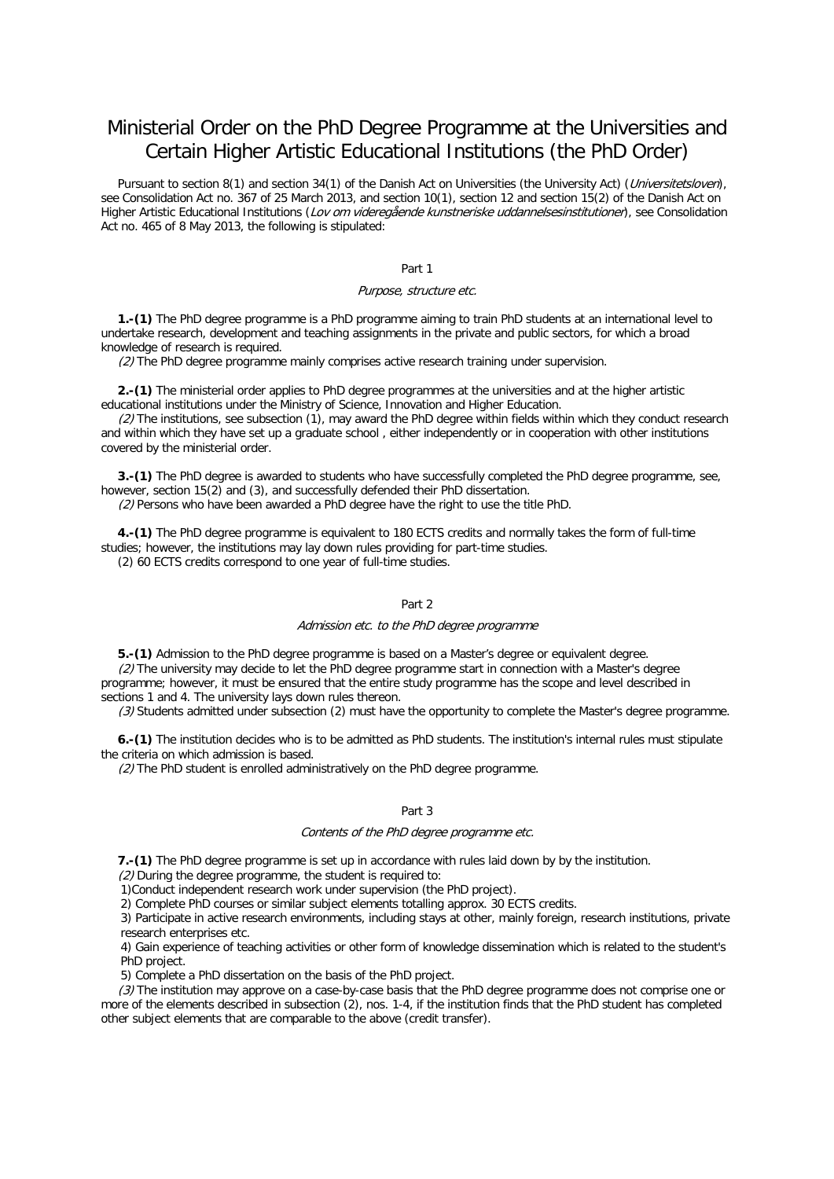# Ministerial Order on the PhD Degree Programme at the Universities and Certain Higher Artistic Educational Institutions (the PhD Order)

Pursuant to section 8(1) and section 34(1) of the Danish Act on Universities (the University Act) (Universitetsloven), see Consolidation Act no. 367 of 25 March 2013, and section 10(1), section 12 and section 15(2) of the Danish Act on Higher Artistic Educational Institutions (Lov om videregående kunstneriske uddannelsesinstitutioner), see Consolidation Act no. 465 of 8 May 2013, the following is stipulated:

# Part 1

## Purpose, structure etc.

**1.-(1)** The PhD degree programme is a PhD programme aiming to train PhD students at an international level to undertake research, development and teaching assignments in the private and public sectors, for which a broad knowledge of research is required.

(2) The PhD degree programme mainly comprises active research training under supervision.

**2.-(1)** The ministerial order applies to PhD degree programmes at the universities and at the higher artistic educational institutions under the Ministry of Science, Innovation and Higher Education.

 $(2)$  The institutions, see subsection (1), may award the PhD degree within fields within which they conduct research and within which they have set up a graduate school , either independently or in cooperation with other institutions covered by the ministerial order.

**3.-(1)** The PhD degree is awarded to students who have successfully completed the PhD degree programme, see, however, section 15(2) and (3), and successfully defended their PhD dissertation.

(2) Persons who have been awarded a PhD degree have the right to use the title PhD.

**4.-(1)** The PhD degree programme is equivalent to 180 ECTS credits and normally takes the form of full-time studies; however, the institutions may lay down rules providing for part-time studies.

(2) 60 ECTS credits correspond to one year of full-time studies.

# Part 2

#### Admission etc. to the PhD degree programme

**5.-(1)** Admission to the PhD degree programme is based on a Master's degree or equivalent degree. (2) The university may decide to let the PhD degree programme start in connection with a Master's degree programme; however, it must be ensured that the entire study programme has the scope and level described in sections 1 and 4. The university lays down rules thereon.

(3) Students admitted under subsection (2) must have the opportunity to complete the Master's degree programme.

**6.-(1)** The institution decides who is to be admitted as PhD students. The institution's internal rules must stipulate the criteria on which admission is based.

(2) The PhD student is enrolled administratively on the PhD degree programme.

## Part 3

### Contents of the PhD degree programme etc.

**7.-(1)** The PhD degree programme is set up in accordance with rules laid down by by the institution.

(2) During the degree programme, the student is required to:

1)Conduct independent research work under supervision (the PhD project).

2) Complete PhD courses or similar subject elements totalling approx. 30 ECTS credits.

3) Participate in active research environments, including stays at other, mainly foreign, research institutions, private research enterprises etc.

4) Gain experience of teaching activities or other form of knowledge dissemination which is related to the student's PhD project.

5) Complete a PhD dissertation on the basis of the PhD project.

(3) The institution may approve on a case-by-case basis that the PhD degree programme does not comprise one or more of the elements described in subsection (2), nos. 1-4, if the institution finds that the PhD student has completed other subject elements that are comparable to the above (credit transfer).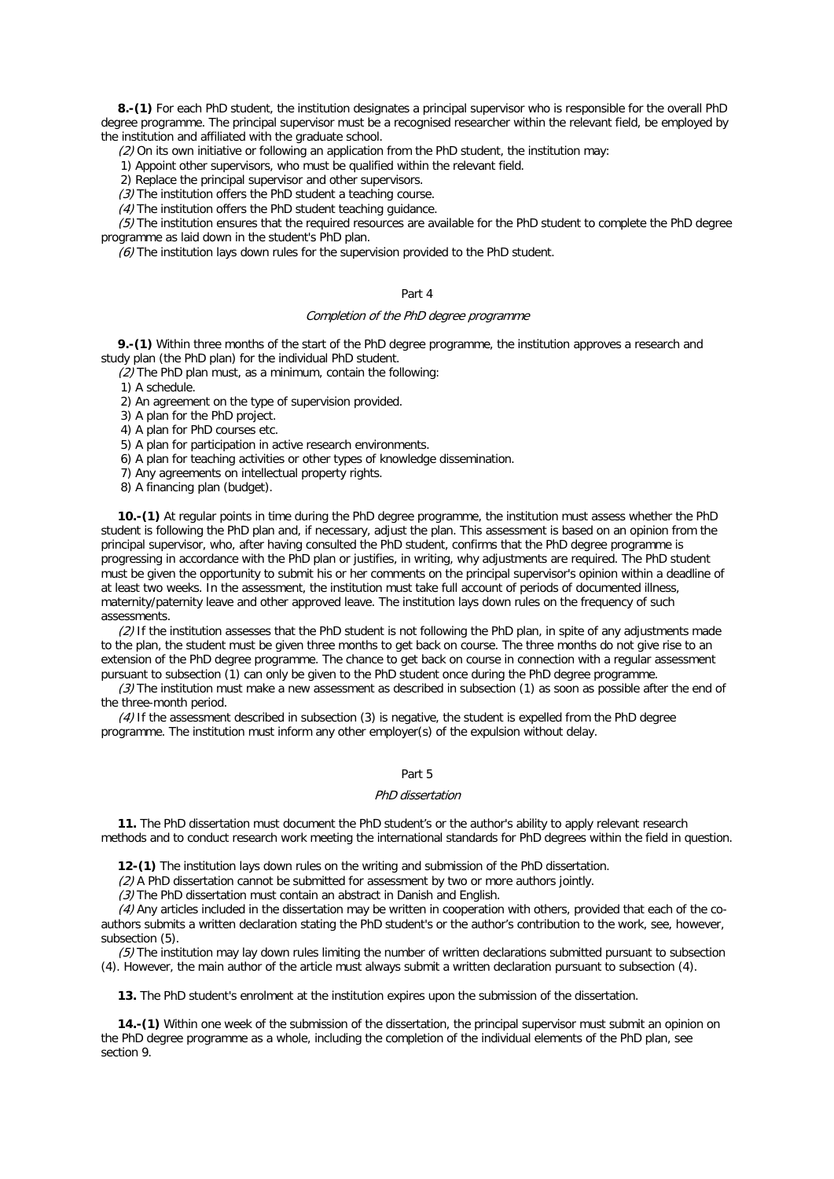**8.-(1)** For each PhD student, the institution designates a principal supervisor who is responsible for the overall PhD degree programme. The principal supervisor must be a recognised researcher within the relevant field, be employed by the institution and affiliated with the graduate school.

(2) On its own initiative or following an application from the PhD student, the institution may:

1) Appoint other supervisors, who must be qualified within the relevant field.

2) Replace the principal supervisor and other supervisors.

(3) The institution offers the PhD student a teaching course.

 $(4)$  The institution offers the PhD student teaching quidance.

(5) The institution ensures that the required resources are available for the PhD student to complete the PhD degree programme as laid down in the student's PhD plan.

 $(6)$  The institution lays down rules for the supervision provided to the PhD student.

#### Part 4

# Completion of the PhD degree programme

**9.-(1)** Within three months of the start of the PhD degree programme, the institution approves a research and study plan (the PhD plan) for the individual PhD student.

(2) The PhD plan must, as a minimum, contain the following:

1) A schedule.

2) An agreement on the type of supervision provided.

3) A plan for the PhD project.

4) A plan for PhD courses etc.

5) A plan for participation in active research environments.

6) A plan for teaching activities or other types of knowledge dissemination.

7) Any agreements on intellectual property rights.

8) A financing plan (budget).

**10.-(1)** At regular points in time during the PhD degree programme, the institution must assess whether the PhD student is following the PhD plan and, if necessary, adjust the plan. This assessment is based on an opinion from the principal supervisor, who, after having consulted the PhD student, confirms that the PhD degree programme is progressing in accordance with the PhD plan or justifies, in writing, why adjustments are required. The PhD student must be given the opportunity to submit his or her comments on the principal supervisor's opinion within a deadline of at least two weeks. In the assessment, the institution must take full account of periods of documented illness, maternity/paternity leave and other approved leave. The institution lays down rules on the frequency of such assessments.

(2) If the institution assesses that the PhD student is not following the PhD plan, in spite of any adjustments made to the plan, the student must be given three months to get back on course. The three months do not give rise to an extension of the PhD degree programme. The chance to get back on course in connection with a regular assessment pursuant to subsection (1) can only be given to the PhD student once during the PhD degree programme.

 $(3)$  The institution must make a new assessment as described in subsection (1) as soon as possible after the end of the three-month period.

(4) If the assessment described in subsection (3) is negative, the student is expelled from the PhD degree programme. The institution must inform any other employer(s) of the expulsion without delay.

# Part 5

#### PhD dissertation

**11.** The PhD dissertation must document the PhD student's or the author's ability to apply relevant research methods and to conduct research work meeting the international standards for PhD degrees within the field in question.

**12-(1)** The institution lays down rules on the writing and submission of the PhD dissertation.

(2) A PhD dissertation cannot be submitted for assessment by two or more authors jointly.

(3) The PhD dissertation must contain an abstract in Danish and English.

(4) Any articles included in the dissertation may be written in cooperation with others, provided that each of the coauthors submits a written declaration stating the PhD student's or the author's contribution to the work, see, however, subsection (5).

(5) The institution may lay down rules limiting the number of written declarations submitted pursuant to subsection (4). However, the main author of the article must always submit a written declaration pursuant to subsection (4).

**13.** The PhD student's enrolment at the institution expires upon the submission of the dissertation.

**14.-(1)** Within one week of the submission of the dissertation, the principal supervisor must submit an opinion on the PhD degree programme as a whole, including the completion of the individual elements of the PhD plan, see section 9.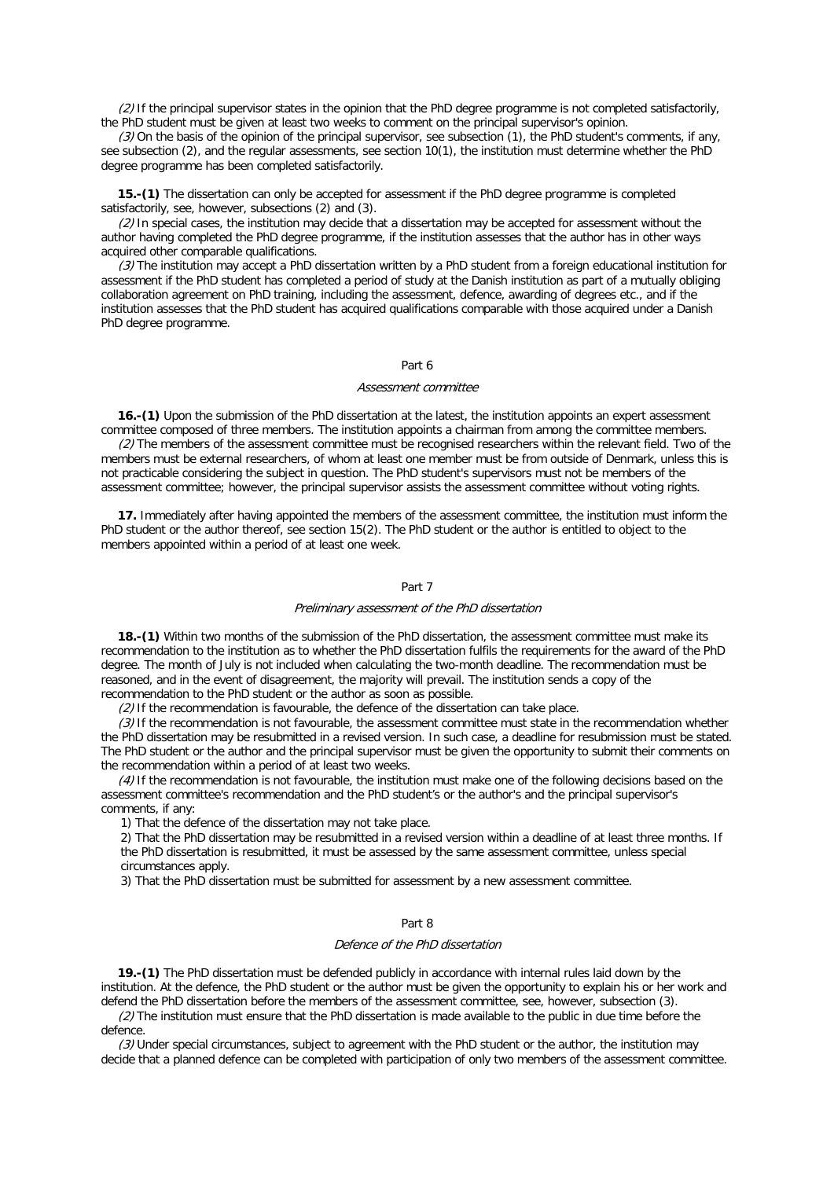(2) If the principal supervisor states in the opinion that the PhD degree programme is not completed satisfactorily, the PhD student must be given at least two weeks to comment on the principal supervisor's opinion.

(3) On the basis of the opinion of the principal supervisor, see subsection (1), the PhD student's comments, if any, see subsection (2), and the regular assessments, see section 10(1), the institution must determine whether the PhD degree programme has been completed satisfactorily.

**15.-(1)** The dissertation can only be accepted for assessment if the PhD degree programme is completed satisfactorily, see, however, subsections (2) and (3).

(2) In special cases, the institution may decide that a dissertation may be accepted for assessment without the author having completed the PhD degree programme, if the institution assesses that the author has in other ways acquired other comparable qualifications.

(3) The institution may accept a PhD dissertation written by a PhD student from a foreign educational institution for assessment if the PhD student has completed a period of study at the Danish institution as part of a mutually obliging collaboration agreement on PhD training, including the assessment, defence, awarding of degrees etc., and if the institution assesses that the PhD student has acquired qualifications comparable with those acquired under a Danish PhD degree programme.

# Part 6

#### Assessment committee

**16.-(1)** Upon the submission of the PhD dissertation at the latest, the institution appoints an expert assessment committee composed of three members. The institution appoints a chairman from among the committee members.

(2) The members of the assessment committee must be recognised researchers within the relevant field. Two of the members must be external researchers, of whom at least one member must be from outside of Denmark, unless this is not practicable considering the subject in question. The PhD student's supervisors must not be members of the assessment committee; however, the principal supervisor assists the assessment committee without voting rights.

**17.** Immediately after having appointed the members of the assessment committee, the institution must inform the PhD student or the author thereof, see section 15(2). The PhD student or the author is entitled to object to the members appointed within a period of at least one week.

## Part 7

## Preliminary assessment of the PhD dissertation

**18.-(1)** Within two months of the submission of the PhD dissertation, the assessment committee must make its recommendation to the institution as to whether the PhD dissertation fulfils the requirements for the award of the PhD degree. The month of July is not included when calculating the two-month deadline. The recommendation must be reasoned, and in the event of disagreement, the majority will prevail. The institution sends a copy of the recommendation to the PhD student or the author as soon as possible.

 $(2)$  If the recommendation is favourable, the defence of the dissertation can take place.

(3) If the recommendation is not favourable, the assessment committee must state in the recommendation whether the PhD dissertation may be resubmitted in a revised version. In such case, a deadline for resubmission must be stated. The PhD student or the author and the principal supervisor must be given the opportunity to submit their comments on the recommendation within a period of at least two weeks.

(4) If the recommendation is not favourable, the institution must make one of the following decisions based on the assessment committee's recommendation and the PhD student's or the author's and the principal supervisor's comments, if any:

1) That the defence of the dissertation may not take place.

2) That the PhD dissertation may be resubmitted in a revised version within a deadline of at least three months. If the PhD dissertation is resubmitted, it must be assessed by the same assessment committee, unless special circumstances apply.

3) That the PhD dissertation must be submitted for assessment by a new assessment committee.

## Part 8

#### Defence of the PhD dissertation

**19.-(1)** The PhD dissertation must be defended publicly in accordance with internal rules laid down by the institution. At the defence, the PhD student or the author must be given the opportunity to explain his or her work and defend the PhD dissertation before the members of the assessment committee, see, however, subsection (3).

(2) The institution must ensure that the PhD dissertation is made available to the public in due time before the defence.

(3) Under special circumstances, subject to agreement with the PhD student or the author, the institution may decide that a planned defence can be completed with participation of only two members of the assessment committee.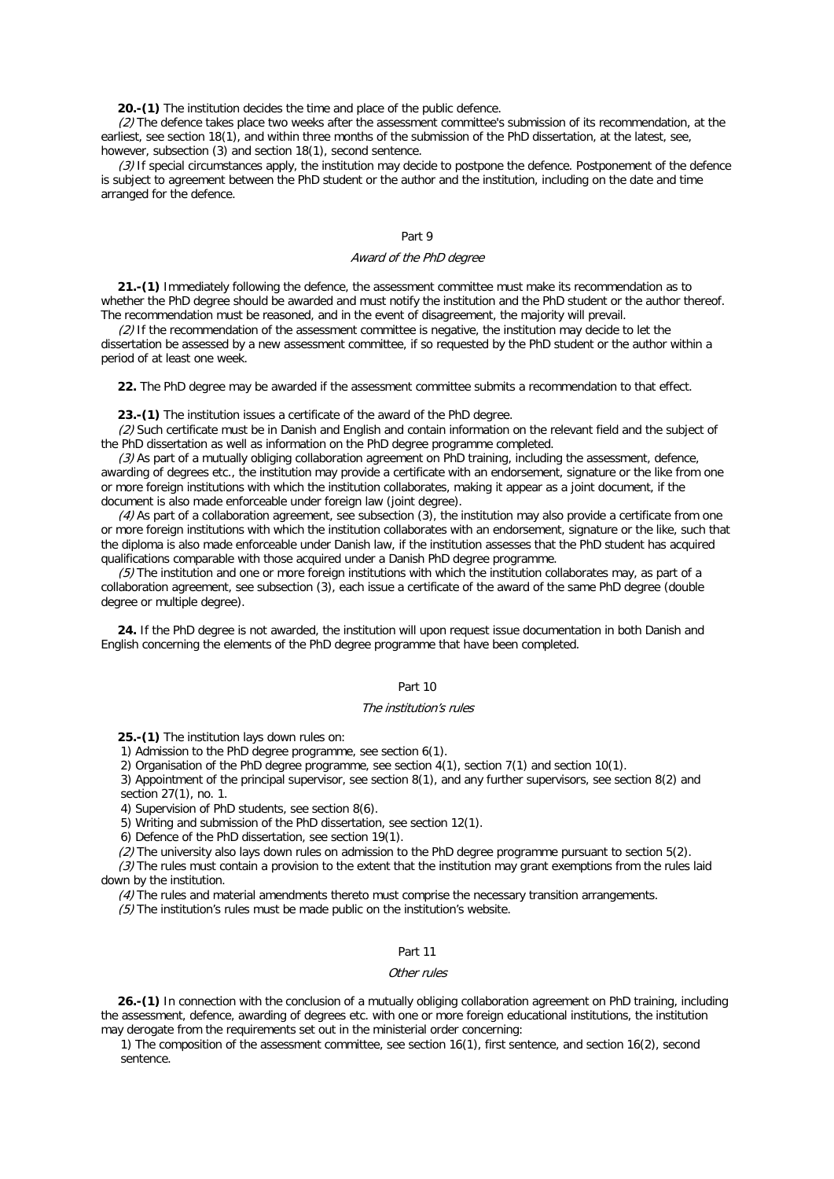**20.-(1)** The institution decides the time and place of the public defence.

(2) The defence takes place two weeks after the assessment committee's submission of its recommendation, at the earliest, see section 18(1), and within three months of the submission of the PhD dissertation, at the latest, see, however, subsection (3) and section 18(1), second sentence.

(3) If special circumstances apply, the institution may decide to postpone the defence. Postponement of the defence is subject to agreement between the PhD student or the author and the institution, including on the date and time arranged for the defence.

# Part 9

## Award of the PhD degree

**21.-(1)** Immediately following the defence, the assessment committee must make its recommendation as to whether the PhD degree should be awarded and must notify the institution and the PhD student or the author thereof. The recommendation must be reasoned, and in the event of disagreement, the majority will prevail.

(2) If the recommendation of the assessment committee is negative, the institution may decide to let the dissertation be assessed by a new assessment committee, if so requested by the PhD student or the author within a period of at least one week.

**22.** The PhD degree may be awarded if the assessment committee submits a recommendation to that effect.

**23.-(1)** The institution issues a certificate of the award of the PhD degree.

(2) Such certificate must be in Danish and English and contain information on the relevant field and the subject of the PhD dissertation as well as information on the PhD degree programme completed.

(3) As part of a mutually obliging collaboration agreement on PhD training, including the assessment, defence, awarding of degrees etc., the institution may provide a certificate with an endorsement, signature or the like from one or more foreign institutions with which the institution collaborates, making it appear as a joint document, if the document is also made enforceable under foreign law (joint degree).

(4) As part of a collaboration agreement, see subsection (3), the institution may also provide a certificate from one or more foreign institutions with which the institution collaborates with an endorsement, signature or the like, such that the diploma is also made enforceable under Danish law, if the institution assesses that the PhD student has acquired qualifications comparable with those acquired under a Danish PhD degree programme.

 $(5)$  The institution and one or more foreign institutions with which the institution collaborates may, as part of a collaboration agreement, see subsection (3), each issue a certificate of the award of the same PhD degree (double degree or multiple degree).

**24.** If the PhD degree is not awarded, the institution will upon request issue documentation in both Danish and English concerning the elements of the PhD degree programme that have been completed.

#### Part 10

#### The institution's rules

**25.-(1)** The institution lays down rules on:

1) Admission to the PhD degree programme, see section 6(1).

2) Organisation of the PhD degree programme, see section 4(1), section 7(1) and section 10(1).

3) Appointment of the principal supervisor, see section 8(1), and any further supervisors, see section 8(2) and

section 27(1), no. 1.

4) Supervision of PhD students, see section 8(6).

5) Writing and submission of the PhD dissertation, see section 12(1).

6) Defence of the PhD dissertation, see section 19(1).

(2) The university also lays down rules on admission to the PhD degree programme pursuant to section 5(2).

 $(3)$  The rules must contain a provision to the extent that the institution may grant exemptions from the rules laid down by the institution.

(4) The rules and material amendments thereto must comprise the necessary transition arrangements.

 $(5)$  The institution's rules must be made public on the institution's website.

#### Part 11

#### Other rules

**26.-(1)** In connection with the conclusion of a mutually obliging collaboration agreement on PhD training, including the assessment, defence, awarding of degrees etc. with one or more foreign educational institutions, the institution may derogate from the requirements set out in the ministerial order concerning:

1) The composition of the assessment committee, see section 16(1), first sentence, and section 16(2), second sentence.